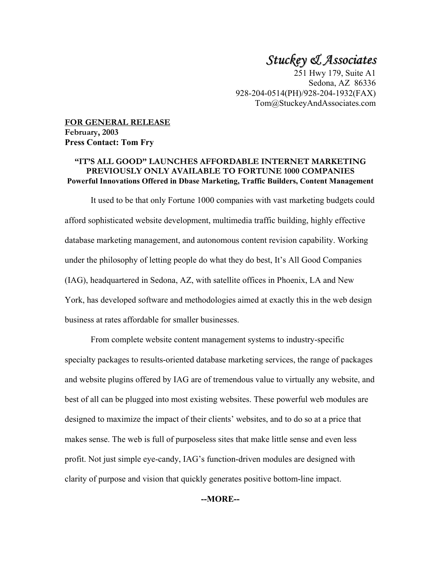# *Stuckey & Associates*

251 Hwy 179, Suite A1 Sedona, AZ 86336 928-204-0514(PH)/928-204-1932(FAX) Tom@StuckeyAndAssociates.com

**FOR GENERAL RELEASE February, 2003 Press Contact: Tom Fry** 

### **"IT'S ALL GOOD" LAUNCHES AFFORDABLE INTERNET MARKETING PREVIOUSLY ONLY AVAILABLE TO FORTUNE 1000 COMPANIES Powerful Innovations Offered in Dbase Marketing, Traffic Builders, Content Management**

It used to be that only Fortune 1000 companies with vast marketing budgets could afford sophisticated website development, multimedia traffic building, highly effective database marketing management, and autonomous content revision capability. Working under the philosophy of letting people do what they do best, It's All Good Companies (IAG), headquartered in Sedona, AZ, with satellite offices in Phoenix, LA and New York, has developed software and methodologies aimed at exactly this in the web design business at rates affordable for smaller businesses.

From complete website content management systems to industry-specific specialty packages to results-oriented database marketing services, the range of packages and website plugins offered by IAG are of tremendous value to virtually any website, and best of all can be plugged into most existing websites. These powerful web modules are designed to maximize the impact of their clients' websites, and to do so at a price that makes sense. The web is full of purposeless sites that make little sense and even less profit. Not just simple eye-candy, IAG's function-driven modules are designed with clarity of purpose and vision that quickly generates positive bottom-line impact.

**--MORE--**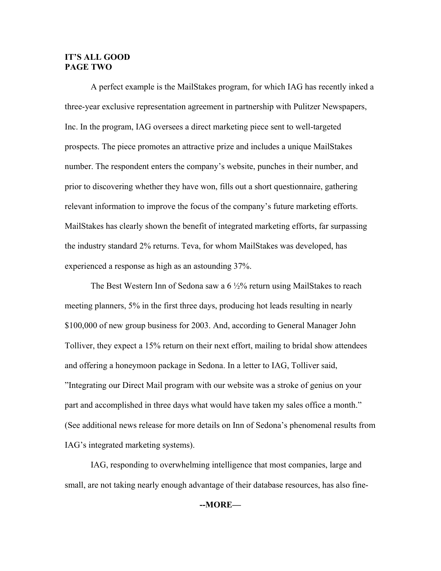### **IT'S ALL GOOD PAGE TWO**

A perfect example is the MailStakes program, for which IAG has recently inked a three-year exclusive representation agreement in partnership with Pulitzer Newspapers, Inc. In the program, IAG oversees a direct marketing piece sent to well-targeted prospects. The piece promotes an attractive prize and includes a unique MailStakes number. The respondent enters the company's website, punches in their number, and prior to discovering whether they have won, fills out a short questionnaire, gathering relevant information to improve the focus of the company's future marketing efforts. MailStakes has clearly shown the benefit of integrated marketing efforts, far surpassing the industry standard 2% returns. Teva, for whom MailStakes was developed, has experienced a response as high as an astounding 37%.

The Best Western Inn of Sedona saw a  $6\frac{1}{2}\%$  return using MailStakes to reach meeting planners, 5% in the first three days, producing hot leads resulting in nearly \$100,000 of new group business for 2003. And, according to General Manager John Tolliver, they expect a 15% return on their next effort, mailing to bridal show attendees and offering a honeymoon package in Sedona. In a letter to IAG, Tolliver said, "Integrating our Direct Mail program with our website was a stroke of genius on your part and accomplished in three days what would have taken my sales office a month." (See additional news release for more details on Inn of Sedona's phenomenal results from IAG's integrated marketing systems).

IAG, responding to overwhelming intelligence that most companies, large and small, are not taking nearly enough advantage of their database resources, has also fine-

#### **--MORE—**